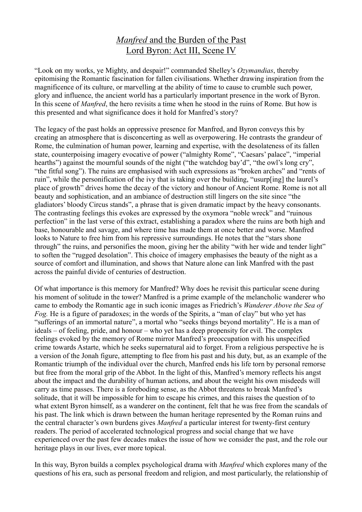## *Manfred* and the Burden of the Past Lord Byron: Act III, Scene IV

"Look on my works, ye Mighty, and despair!" commanded Shelley's *Ozymandias*, thereby epitomising the Romantic fascination for fallen civilisations. Whether drawing inspiration from the magnificence of its culture, or marvelling at the ability of time to cause to crumble such power, glory and influence, the ancient world has a particularly important presence in the work of Byron. In this scene of *Manfred*, the hero revisits a time when he stood in the ruins of Rome. But how is this presented and what significance does it hold for Manfred's story?

The legacy of the past holds an oppressive presence for Manfred, and Byron conveys this by creating an atmosphere that is disconcerting as well as overpowering. He contrasts the grandeur of Rome, the culmination of human power, learning and expertise, with the desolateness of its fallen state, counterpoising imagery evocative of power ("almighty Rome", "Caesars' palace", "imperial hearths") against the mournful sounds of the night ("the watchdog bay'd", "the owl's long cry", "the fitful song"). The ruins are emphasised with such expressions as "broken arches" and "rents of ruin", while the personification of the ivy that is taking over the building, "usurp[ing] the laurel's place of growth" drives home the decay of the victory and honour of Ancient Rome. Rome is not all beauty and sophistication, and an ambiance of destruction still lingers on the site since "the gladiators' bloody Circus stands", a phrase that is given dramatic impact by the heavy consonants. The contrasting feelings this evokes are expressed by the oxymora "noble wreck" and "ruinous perfection" in the last verse of this extract, establishing a paradox where the ruins are both high and base, honourable and savage, and where time has made them at once better and worse. Manfred looks to Nature to free him from his repressive surroundings. He notes that the "stars shone through" the ruins, and personifies the moon, giving her the ability "with her wide and tender light" to soften the "rugged desolation". This choice of imagery emphasises the beauty of the night as a source of comfort and illumination, and shows that Nature alone can link Manfred with the past across the painful divide of centuries of destruction.

Of what importance is this memory for Manfred? Why does he revisit this particular scene during his moment of solitude in the tower? Manfred is a prime example of the melancholic wanderer who came to embody the Romantic age in such iconic images as Friedrich's *Wanderer Above the Sea of Fog.* He is a figure of paradoxes; in the words of the Spirits, a "man of clay" but who yet has "sufferings of an immortal nature", a mortal who "seeks things beyond mortality". He is a man of ideals – of feeling, pride, and honour – who yet has a deep propensity for evil. The complex feelings evoked by the memory of Rome mirror Manfred's preoccupation with his unspecified crime towards Astarte, which he seeks supernatural aid to forget. From a religious perspective he is a version of the Jonah figure, attempting to flee from his past and his duty, but, as an example of the Romantic triumph of the individual over the church, Manfred ends his life torn by personal remorse but free from the moral grip of the Abbot. In the light of this, Manfred's memory reflects his angst about the impact and the durability of human actions, and about the weight his own misdeeds will carry as time passes. There is a foreboding sense, as the Abbot threatens to break Manfred's solitude, that it will be impossible for him to escape his crimes, and this raises the question of to what extent Byron himself, as a wanderer on the continent, felt that he was free from the scandals of his past. The link which is drawn between the human heritage represented by the Roman ruins and the central character's own burdens gives *Manfred* a particular interest for twenty-first century readers. The period of accelerated technological progress and social change that we have experienced over the past few decades makes the issue of how we consider the past, and the role our heritage plays in our lives, ever more topical.

In this way, Byron builds a complex psychological drama with *Manfred* which explores many of the questions of his era, such as personal freedom and religion, and most particularly, the relationship of